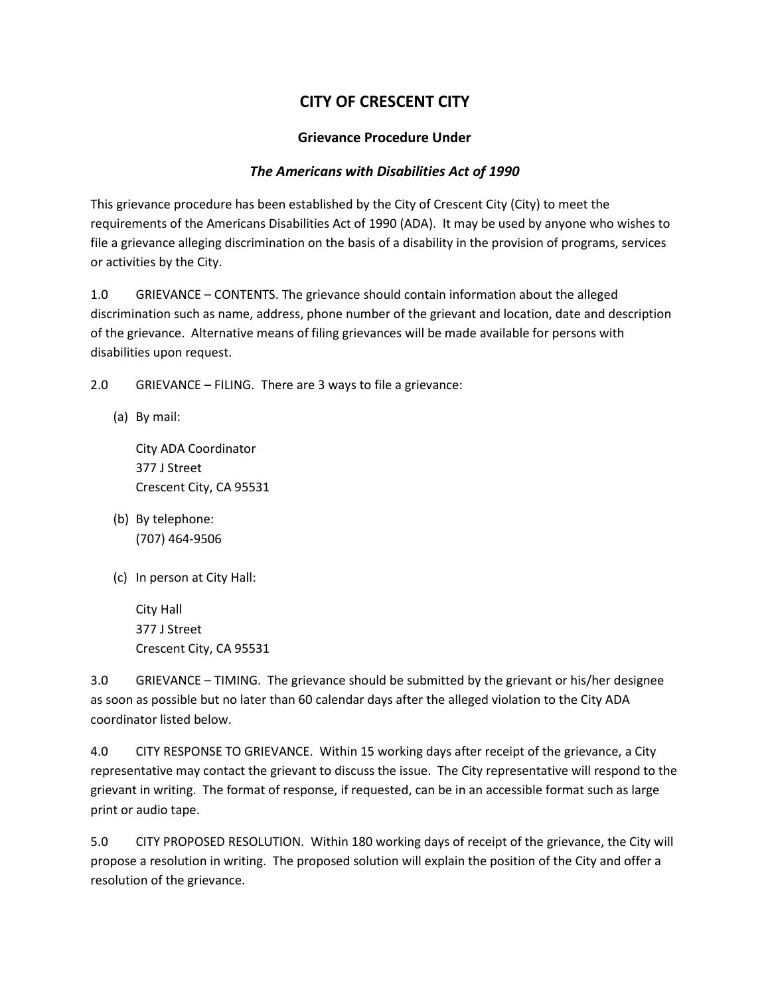## **CITY OF CRESCENT CITY**

## **Grievance Procedure Under**

## *The Americans with Disabilities Act of 1990*

This grievance procedure has been established by the City of Crescent City (City) to meet the requirements of the Americans Disabilities Act of 1990 (ADA). It may be used by anyone who wishes to file a grievance alleging discrimination on the basis of a disability in the provision of programs, services or activities by the City.

1.0 GRIEVANCE – CONTENTS. The grievance should contain information about the alleged discrimination such as name, address, phone number of the grievant and location, date and description of the grievance. Alternative means of filing grievances will be made available for persons with disabilities upon request.

2.0 GRIEVANCE – FILING. There are 3 ways to file a grievance:

(a) By mail:

City ADA Coordinator 377 J Street Crescent City, CA 95531

- (b) By telephone: (707) 464-9506
- (c) In person at City Hall:

City Hall 377 J Street Crescent City, CA 95531

3.0 GRIEVANCE – TIMING. The grievance should be submitted by the grievant or his/her designee as soon as possible but no later than 60 calendar days after the alleged violation to the City ADA coordinator listed below.

4.0 CITY RESPONSE TO GRIEVANCE. Within 15 working days after receipt of the grievance, a City representative may contact the grievant to discuss the issue. The City representative will respond to the grievant in writing. The format of response, if requested, can be in an accessible format such as large print or audio tape.

5.0 CITY PROPOSED RESOLUTION. Within 180 working days of receipt of the grievance, the City will propose a resolution in writing. The proposed solution will explain the position of the City and offer a resolution of the grievance.